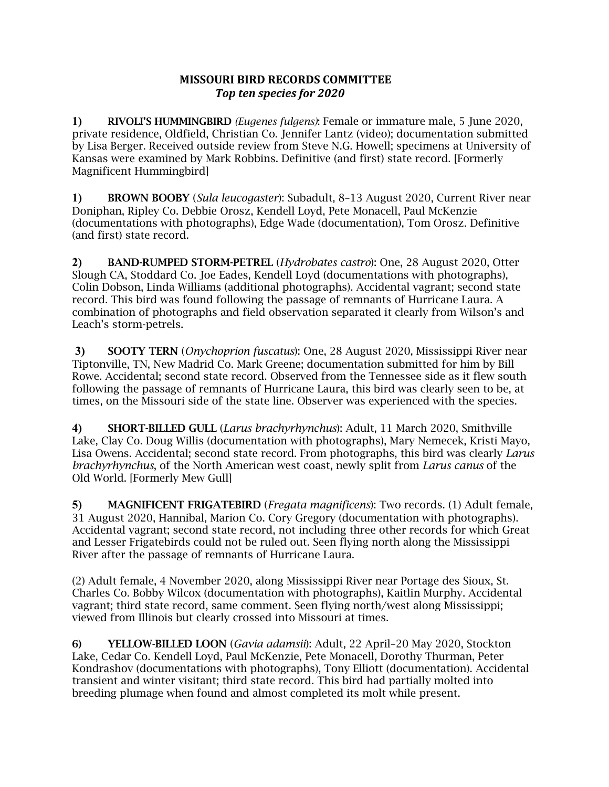## **MISSOURI BIRD RECORDS COMMITTEE** *Top ten species for 2020*

**1)** RIVOLI'S HUMMINGBIRD *(Eugenes fulgens)*: Female or immature male, 5 June 2020, private residence, Oldfield, Christian Co. Jennifer Lantz (video); documentation submitted by Lisa Berger. Received outside review from Steve N.G. Howell; specimens at University of Kansas were examined by Mark Robbins. Definitive (and first) state record. [Formerly Magnificent Hummingbird]

**1)** BROWN BOOBY (*Sula leucogaster*): Subadult, 8–13 August 2020, Current River near Doniphan, Ripley Co. Debbie Orosz, Kendell Loyd, Pete Monacell, Paul McKenzie (documentations with photographs), Edge Wade (documentation), Tom Orosz. Definitive (and first) state record.

**2)** BAND-RUMPED STORM-PETREL (*Hydrobates castro*): One, 28 August 2020, Otter Slough CA, Stoddard Co. Joe Eades, Kendell Loyd (documentations with photographs), Colin Dobson, Linda Williams (additional photographs). Accidental vagrant; second state record. This bird was found following the passage of remnants of Hurricane Laura. A combination of photographs and field observation separated it clearly from Wilson's and Leach's storm-petrels.

**3)** SOOTY TERN (*Onychoprion fuscatus*): One, 28 August 2020, Mississippi River near Tiptonville, TN, New Madrid Co. Mark Greene; documentation submitted for him by Bill Rowe. Accidental; second state record. Observed from the Tennessee side as it flew south following the passage of remnants of Hurricane Laura, this bird was clearly seen to be, at times, on the Missouri side of the state line. Observer was experienced with the species.

**4)** SHORT-BILLED GULL (*Larus brachyrhynchus*): Adult, 11 March 2020, Smithville Lake, Clay Co. Doug Willis (documentation with photographs), Mary Nemecek, Kristi Mayo, Lisa Owens. Accidental; second state record. From photographs, this bird was clearly *Larus brachyrhynchus*, of the North American west coast, newly split from *Larus canus* of the Old World. [Formerly Mew Gull]

**5)** MAGNIFICENT FRIGATEBIRD (*Fregata magnificens*): Two records. (1) Adult female, 31 August 2020, Hannibal, Marion Co. Cory Gregory (documentation with photographs). Accidental vagrant; second state record, not including three other records for which Great and Lesser Frigatebirds could not be ruled out. Seen flying north along the Mississippi River after the passage of remnants of Hurricane Laura.

(2) Adult female, 4 November 2020, along Mississippi River near Portage des Sioux, St. Charles Co. Bobby Wilcox (documentation with photographs), Kaitlin Murphy. Accidental vagrant; third state record, same comment. Seen flying north/west along Mississippi; viewed from Illinois but clearly crossed into Missouri at times.

6) YELLOW-BILLED LOON (*Gavia adamsii*): Adult, 22 April–20 May 2020, Stockton Lake, Cedar Co. Kendell Loyd, Paul McKenzie, Pete Monacell, Dorothy Thurman, Peter Kondrashov (documentations with photographs), Tony Elliott (documentation). Accidental transient and winter visitant; third state record. This bird had partially molted into breeding plumage when found and almost completed its molt while present.